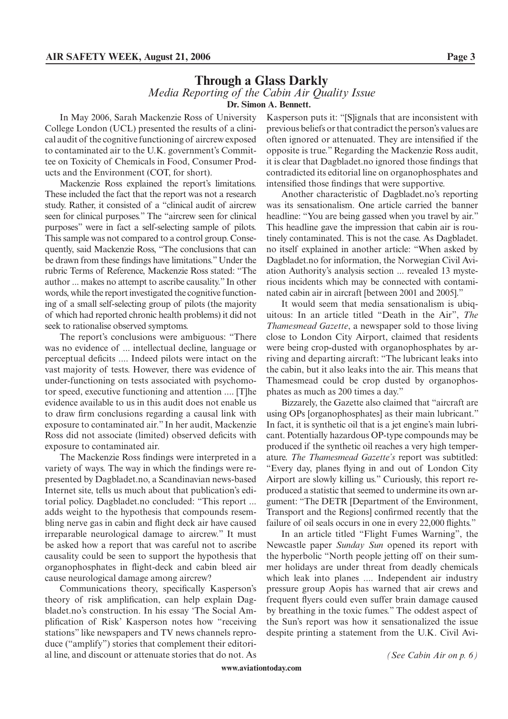## **Through a Glass Darkly** *Media Reporting of the Cabin Air Quality Issue* **Dr. Simon A. Bennett.**

In May 2006, Sarah Mackenzie Ross of University College London (UCL) presented the results of a clinical audit of the cognitive functioning of aircrew exposed to contaminated air to the U.K. government's Committee on Toxicity of Chemicals in Food, Consumer Products and the Environment (COT, for short).

Mackenzie Ross explained the report's limitations. These included the fact that the report was not a research study. Rather, it consisted of a "clinical audit of aircrew seen for clinical purposes." The "aircrew seen for clinical purposes" were in fact a self-selecting sample of pilots. This sample was not compared to a control group. Consequently, said Mackenzie Ross, "The conclusions that can be drawn from these findings have limitations." Under the rubric Terms of Reference, Mackenzie Ross stated: "The author ... makes no attempt to ascribe causality." In other words, while the report investigated the cognitive functioning of a small self-selecting group of pilots (the majority of which had reported chronic health problems) it did not seek to rationalise observed symptoms.

The report's conclusions were ambiguous: "There was no evidence of ... intellectual decline, language or perceptual deficits .... Indeed pilots were intact on the vast majority of tests. However, there was evidence of under-functioning on tests associated with psychomotor speed, executive functioning and attention .... [T]he evidence available to us in this audit does not enable us to draw firm conclusions regarding a causal link with exposure to contaminated air." In her audit, Mackenzie Ross did not associate (limited) observed deficits with exposure to contaminated air.

The Mackenzie Ross findings were interpreted in a variety of ways. The way in which the findings were represented by Dagbladet.no, a Scandinavian news-based Internet site, tells us much about that publication's editorial policy. Dagbladet.no concluded: "This report ... adds weight to the hypothesis that compounds resembling nerve gas in cabin and flight deck air have caused irreparable neurological damage to aircrew." It must be asked how a report that was careful not to ascribe causality could be seen to support the hypothesis that organophosphates in flight-deck and cabin bleed air cause neurological damage among aircrew?

Communications theory, specifically Kasperson's theory of risk amplification, can help explain Dagbladet.no's construction. In his essay 'The Social Amplification of Risk' Kasperson notes how "receiving stations" like newspapers and TV news channels reproduce ("amplify") stories that complement their editorial line, and discount or attenuate stories that do not. As Kasperson puts it: "[S]ignals that are inconsistent with previous beliefs or that contradict the person's values are often ignored or attenuated. They are intensified if the opposite is true." Regarding the Mackenzie Ross audit, it is clear that Dagbladet.no ignored those findings that contradicted its editorial line on organophosphates and intensified those findings that were supportive.

Another characteristic of Dagbladet.no's reporting was its sensationalism. One article carried the banner headline: "You are being gassed when you travel by air." This headline gave the impression that cabin air is routinely contaminated. This is not the case. As Dagbladet. no itself explained in another article: "When asked by Dagbladet.no for information, the Norwegian Civil Aviation Authority's analysis section ... revealed 13 mysterious incidents which may be connected with contaminated cabin air in aircraft [between 2001 and 2005]."

It would seem that media sensationalism is ubiquitous: In an article titled "Death in the Air", *The Thamesmead Gazette*, a newspaper sold to those living close to London City Airport, claimed that residents were being crop-dusted with organophosphates by arriving and departing aircraft: "The lubricant leaks into the cabin, but it also leaks into the air. This means that Thamesmead could be crop dusted by organophosphates as much as 200 times a day."

Bizzarely, the Gazette also claimed that "aircraft are using OPs [organophosphates] as their main lubricant." In fact, it is synthetic oil that is a jet engine's main lubricant. Potentially hazardous OP-type compounds may be produced if the synthetic oil reaches a very high temperature. *The Thamesmead Gazette's* report was subtitled: "Every day, planes flying in and out of London City Airport are slowly killing us." Curiously, this report reproduced a statistic that seemed to undermine its own argument: "The DETR [Department of the Environment, Transport and the Regions] confirmed recently that the failure of oil seals occurs in one in every 22,000 flights."

In an article titled "Flight Fumes Warning", the Newcastle paper *Sunday Sun* opened its report with the hyperbolic "North people jetting off on their summer holidays are under threat from deadly chemicals which leak into planes .... Independent air industry pressure group Aopis has warned that air crews and frequent flyers could even suffer brain damage caused by breathing in the toxic fumes." The oddest aspect of the Sun's report was how it sensationalized the issue despite printing a statement from the U.K. Civil Avi-